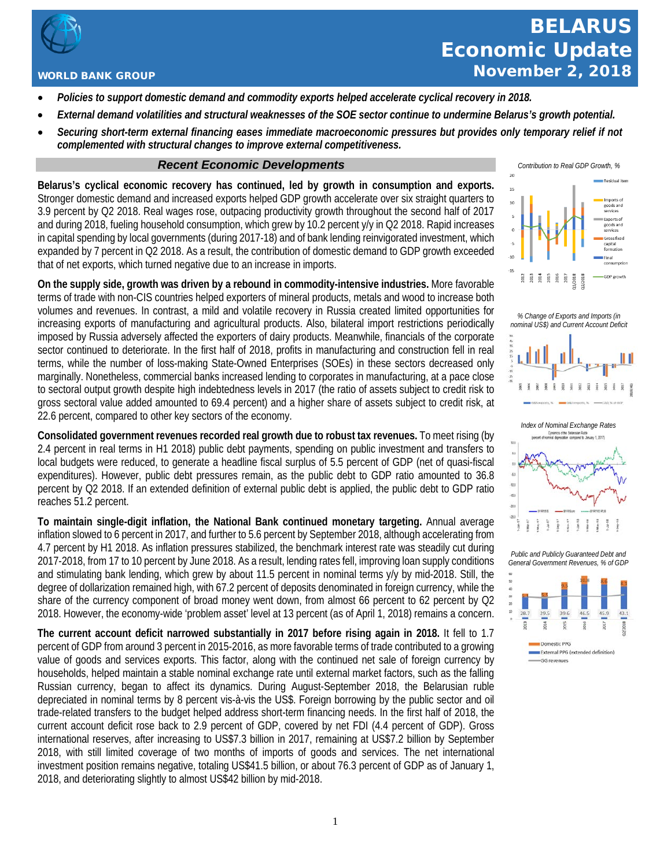

## WORLD BANK GROUP

- *Policies to support domestic demand and commodity exports helped accelerate cyclical recovery in 2018.*
- *External demand volatilities and structural weaknesses of the SOE sector continue to undermine Belarus's growth potential.*
- *Securing short-term external financing eases immediate macroeconomic pressures but provides only temporary relief if not complemented with structural changes to improve external competitiveness.*

## *Recent Economic Developments*

**Belarus's cyclical economic recovery has continued, led by growth in consumption and exports.** Stronger domestic demand and increased exports helped GDP growth accelerate over six straight quarters to 3.9 percent by Q2 2018. Real wages rose, outpacing productivity growth throughout the second half of 2017 and during 2018, fueling household consumption, which grew by 10.2 percent y/y in Q2 2018. Rapid increases in capital spending by local governments (during 2017-18) and of bank lending reinvigorated investment, which expanded by 7 percent in Q2 2018. As a result, the contribution of domestic demand to GDP growth exceeded that of net exports, which turned negative due to an increase in imports.

**On the supply side, growth was driven by a rebound in commodity-intensive industries.** More favorable terms of trade with non-CIS countries helped exporters of mineral products, metals and wood to increase both volumes and revenues. In contrast, a mild and volatile recovery in Russia created limited opportunities for increasing exports of manufacturing and agricultural products. Also, bilateral import restrictions periodically imposed by Russia adversely affected the exporters of dairy products. Meanwhile, financials of the corporate sector continued to deteriorate. In the first half of 2018, profits in manufacturing and construction fell in real terms, while the number of loss-making State-Owned Enterprises (SOEs) in these sectors decreased only marginally. Nonetheless, commercial banks increased lending to corporates in manufacturing, at a pace close to sectoral output growth despite high indebtedness levels in 2017 (the ratio of assets subject to credit risk to gross sectoral value added amounted to 69.4 percent) and a higher share of assets subject to credit risk, at 22.6 percent, compared to other key sectors of the economy.

**Consolidated government revenues recorded real growth due to robust tax revenues.** To meet rising (by 2.4 percent in real terms in H1 2018) public debt payments, spending on public investment and transfers to local budgets were reduced, to generate a headline fiscal surplus of 5.5 percent of GDP (net of quasi-fiscal expenditures). However, public debt pressures remain, as the public debt to GDP ratio amounted to 36.8 percent by Q2 2018. If an extended definition of external public debt is applied, the public debt to GDP ratio reaches 51.2 percent.

**To maintain single-digit inflation, the National Bank continued monetary targeting.** Annual average inflation slowed to 6 percent in 2017, and further to 5.6 percent by September 2018, although accelerating from 4.7 percent by H1 2018. As inflation pressures stabilized, the benchmark interest rate was steadily cut during 2017-2018, from 17 to 10 percent by June 2018. As a result, lending rates fell, improving loan supply conditions and stimulating bank lending, which grew by about 11.5 percent in nominal terms y/y by mid-2018. Still, the degree of dollarization remained high, with 67.2 percent of deposits denominated in foreign currency, while the share of the currency component of broad money went down, from almost 66 percent to 62 percent by Q2 2018. However, the economy-wide 'problem asset' level at 13 percent (as of April 1, 2018) remains a concern.

**The current account deficit narrowed substantially in 2017 before rising again in 2018.** It fell to 1.7 percent of GDP from around 3 percent in 2015-2016, as more favorable terms of trade contributed to a growing value of goods and services exports. This factor, along with the continued net sale of foreign currency by households, helped maintain a stable nominal exchange rate until external market factors, such as the falling Russian currency, began to affect its dynamics. During August-September 2018, the Belarusian ruble depreciated in nominal terms by 8 percent vis-à-vis the US\$. Foreign borrowing by the public sector and oil trade-related transfers to the budget helped address short-term financing needs. In the first half of 2018, the current account deficit rose back to 2.9 percent of GDP, covered by net FDI (4.4 percent of GDP). Gross international reserves, after increasing to US\$7.3 billion in 2017, remaining at US\$7.2 billion by September 2018, with still limited coverage of two months of imports of goods and services. The net international investment position remains negative, totaling US\$41.5 billion, or about 76.3 percent of GDP as of January 1, 2018, and deteriorating slightly to almost US\$42 billion by mid-2018.



*% Change of Exports and Imports (in nominal US\$) and Current Account Deficit*



*Public and Publicly Guaranteed Debt and General Government Revenues, % of GDP*